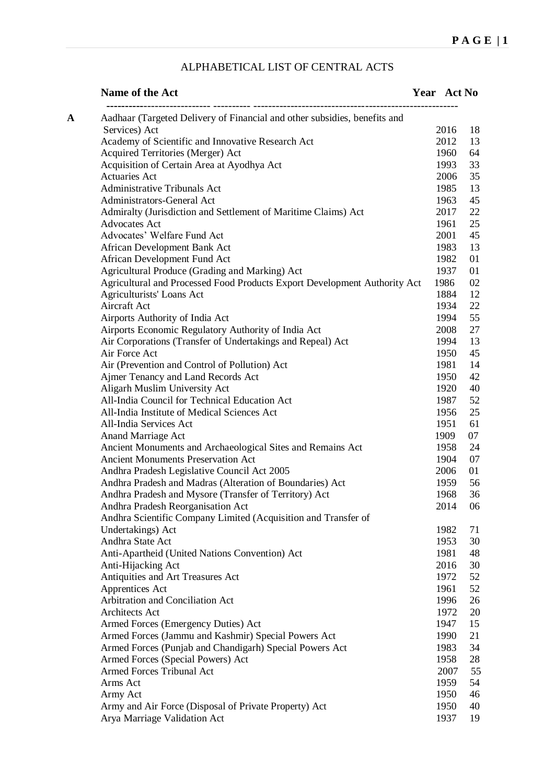## ALPHABETICAL LIST OF CENTRAL ACTS

| Name of the Act                                                                           | Year Act No |
|-------------------------------------------------------------------------------------------|-------------|
| Aadhaar (Targeted Delivery of Financial and other subsidies, benefits and<br>$\mathbf{A}$ |             |
| Services) Act                                                                             | 2016<br>18  |
| Academy of Scientific and Innovative Research Act                                         | 2012<br>13  |
| Acquired Territories (Merger) Act                                                         | 1960<br>64  |
| Acquisition of Certain Area at Ayodhya Act                                                | 33<br>1993  |
| <b>Actuaries Act</b>                                                                      | 35<br>2006  |
| <b>Administrative Tribunals Act</b>                                                       | 1985<br>13  |
| Administrators-General Act                                                                | 45<br>1963  |
| Admiralty (Jurisdiction and Settlement of Maritime Claims) Act                            | 22<br>2017  |
| <b>Advocates Act</b>                                                                      | 25<br>1961  |
| Advocates' Welfare Fund Act                                                               | 45<br>2001  |
| African Development Bank Act                                                              | 13<br>1983  |
| African Development Fund Act                                                              | 01<br>1982  |
| Agricultural Produce (Grading and Marking) Act                                            | 1937<br>01  |
| Agricultural and Processed Food Products Export Development Authority Act                 | 1986<br>02  |
| Agriculturists' Loans Act                                                                 | 1884<br>12  |
| Aircraft Act                                                                              | 1934<br>22  |
| Airports Authority of India Act                                                           | 55<br>1994  |
| Airports Economic Regulatory Authority of India Act                                       | 27<br>2008  |
| Air Corporations (Transfer of Undertakings and Repeal) Act                                | 1994<br>13  |
| Air Force Act                                                                             | 45<br>1950  |
| Air (Prevention and Control of Pollution) Act                                             | 1981<br>14  |
| Ajmer Tenancy and Land Records Act                                                        | 42<br>1950  |
| Aligarh Muslim University Act                                                             | 40<br>1920  |
| All-India Council for Technical Education Act                                             | 1987<br>52  |
| All-India Institute of Medical Sciences Act                                               | 1956<br>25  |
| All-India Services Act                                                                    | 1951<br>61  |
| <b>Anand Marriage Act</b>                                                                 | 1909<br>07  |
| Ancient Monuments and Archaeological Sites and Remains Act                                | 1958<br>24  |
| <b>Ancient Monuments Preservation Act</b>                                                 | 1904<br>07  |
| Andhra Pradesh Legislative Council Act 2005                                               | 2006<br>01  |
| Andhra Pradesh and Madras (Alteration of Boundaries) Act                                  | 56<br>1959  |
| Andhra Pradesh and Mysore (Transfer of Territory) Act                                     | 36<br>1968  |
| Andhra Pradesh Reorganisation Act                                                         | 2014<br>06  |
| Andhra Scientific Company Limited (Acquisition and Transfer of                            |             |
| Undertakings) Act                                                                         | 1982<br>71  |
| Andhra State Act                                                                          | 1953<br>30  |
| Anti-Apartheid (United Nations Convention) Act                                            | 1981<br>48  |
| Anti-Hijacking Act                                                                        | 30<br>2016  |
| Antiquities and Art Treasures Act                                                         | 52<br>1972  |
| Apprentices Act                                                                           | 52<br>1961  |
| Arbitration and Conciliation Act                                                          | 1996<br>26  |
| Architects Act                                                                            | 1972<br>20  |
| Armed Forces (Emergency Duties) Act                                                       | 1947<br>15  |
| Armed Forces (Jammu and Kashmir) Special Powers Act                                       | 1990<br>21  |
| Armed Forces (Punjab and Chandigarh) Special Powers Act                                   | 34<br>1983  |
| Armed Forces (Special Powers) Act                                                         | 1958<br>28  |
| Armed Forces Tribunal Act                                                                 | 55<br>2007  |
| Arms Act                                                                                  | 54<br>1959  |
| Army Act                                                                                  | 1950<br>46  |
| Army and Air Force (Disposal of Private Property) Act                                     | 1950<br>40  |
| Arya Marriage Validation Act                                                              | 1937<br>19  |
|                                                                                           |             |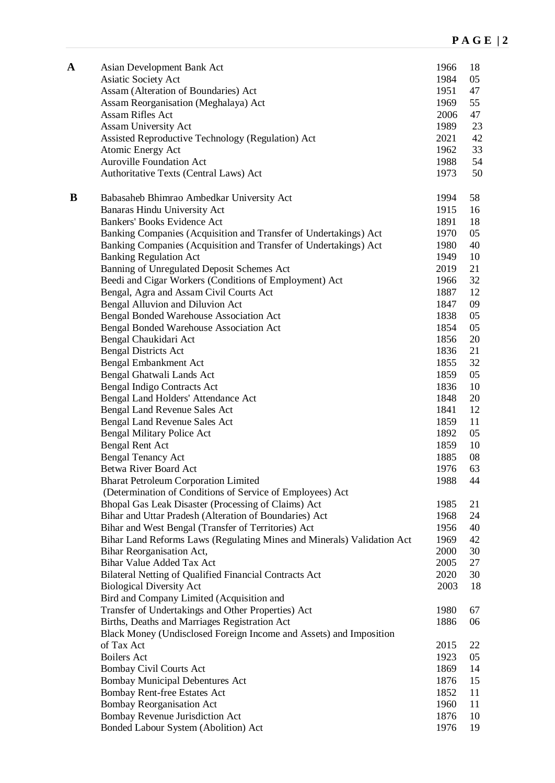| A | Asian Development Bank Act<br>Asiatic Society Act                           | 1966<br>1984 | 18<br>05 |
|---|-----------------------------------------------------------------------------|--------------|----------|
|   | Assam (Alteration of Boundaries) Act                                        | 1951         | 47       |
|   | Assam Reorganisation (Meghalaya) Act                                        | 1969         | 55       |
|   | <b>Assam Rifles Act</b>                                                     | 2006         | 47       |
|   | Assam University Act                                                        | 1989         | 23       |
|   | Assisted Reproductive Technology (Regulation) Act                           | 2021         | 42       |
|   | Atomic Energy Act                                                           | 1962         | 33       |
|   | <b>Auroville Foundation Act</b>                                             | 1988         | 54       |
|   | Authoritative Texts (Central Laws) Act                                      | 1973         | 50       |
| B | Babasaheb Bhimrao Ambedkar University Act                                   | 1994         | 58       |
|   | Banaras Hindu University Act                                                | 1915         | 16       |
|   | Bankers' Books Evidence Act                                                 | 1891         | 18       |
|   | Banking Companies (Acquisition and Transfer of Undertakings) Act            | 1970         | 05       |
|   | Banking Companies (Acquisition and Transfer of Undertakings) Act            | 1980         | 40       |
|   | <b>Banking Regulation Act</b>                                               | 1949         | 10       |
|   | Banning of Unregulated Deposit Schemes Act                                  | 2019         | 21       |
|   | Beedi and Cigar Workers (Conditions of Employment) Act                      | 1966         | 32       |
|   | Bengal, Agra and Assam Civil Courts Act                                     | 1887         | 12       |
|   | Bengal Alluvion and Diluvion Act                                            | 1847         | 09       |
|   | Bengal Bonded Warehouse Association Act                                     | 1838         | 05       |
|   | Bengal Bonded Warehouse Association Act                                     | 1854         | 05       |
|   | Bengal Chaukidari Act                                                       | 1856         | 20       |
|   | <b>Bengal Districts Act</b>                                                 | 1836         | 21       |
|   | Bengal Embankment Act                                                       | 1855         | 32       |
|   | Bengal Ghatwali Lands Act                                                   | 1859         | 05       |
|   | <b>Bengal Indigo Contracts Act</b>                                          | 1836<br>1848 | 10<br>20 |
|   | Bengal Land Holders' Attendance Act<br><b>Bengal Land Revenue Sales Act</b> | 1841         | 12       |
|   | <b>Bengal Land Revenue Sales Act</b>                                        | 1859         | 11       |
|   | <b>Bengal Military Police Act</b>                                           | 1892         | 05       |
|   | <b>Bengal Rent Act</b>                                                      | 1859         | 10       |
|   | <b>Bengal Tenancy Act</b>                                                   | 1885         | 08       |
|   | <b>Betwa River Board Act</b>                                                | 1976         | 63       |
|   | <b>Bharat Petroleum Corporation Limited</b>                                 | 1988         | 44       |
|   | (Determination of Conditions of Service of Employees) Act                   |              |          |
|   | Bhopal Gas Leak Disaster (Processing of Claims) Act                         | 1985         | 21       |
|   | Bihar and Uttar Pradesh (Alteration of Boundaries) Act                      | 1968         | 24       |
|   | Bihar and West Bengal (Transfer of Territories) Act                         | 1956         | 40       |
|   | Bihar Land Reforms Laws (Regulating Mines and Minerals) Validation Act      | 1969         | 42       |
|   | Bihar Reorganisation Act,                                                   | 2000         | 30       |
|   | <b>Bihar Value Added Tax Act</b>                                            | 2005         | 27       |
|   | Bilateral Netting of Qualified Financial Contracts Act                      | 2020         | 30       |
|   | <b>Biological Diversity Act</b>                                             | 2003         | 18       |
|   | Bird and Company Limited (Acquisition and                                   |              |          |
|   | Transfer of Undertakings and Other Properties) Act                          | 1980         | 67       |
|   | Births, Deaths and Marriages Registration Act                               | 1886         | 06       |
|   | Black Money (Undisclosed Foreign Income and Assets) and Imposition          |              |          |
|   | of Tax Act                                                                  | 2015         | 22       |
|   | <b>Boilers Act</b>                                                          | 1923         | 05       |
|   | <b>Bombay Civil Courts Act</b>                                              | 1869         | 14       |
|   | <b>Bombay Municipal Debentures Act</b>                                      | 1876         | 15       |
|   | Bombay Rent-free Estates Act                                                | 1852         | 11       |
|   | <b>Bombay Reorganisation Act</b>                                            | 1960         | 11       |
|   | Bombay Revenue Jurisdiction Act                                             | 1876         | 10       |
|   | Bonded Labour System (Abolition) Act                                        | 1976         | 19       |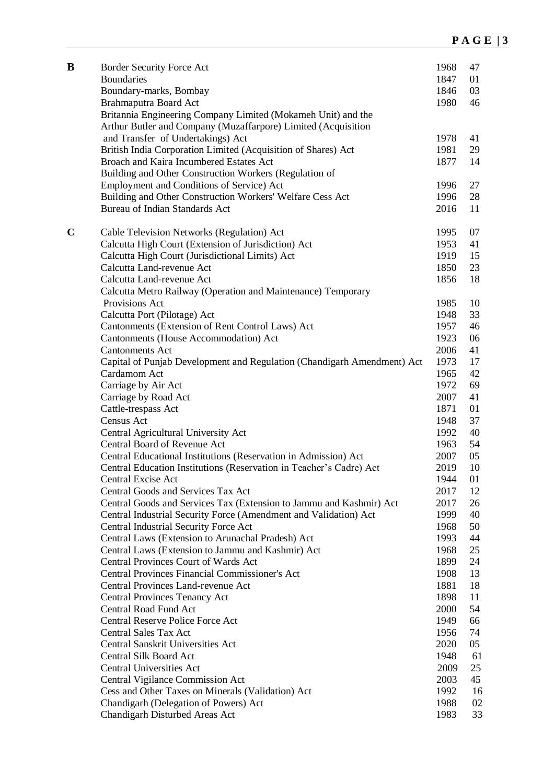| B           | Border Security Force Act<br><b>Boundaries</b><br>Boundary-marks, Bombay<br>Brahmaputra Board Act                | 1968<br>1847<br>1846<br>1980 | 47<br>01<br>03<br>46 |
|-------------|------------------------------------------------------------------------------------------------------------------|------------------------------|----------------------|
|             | Britannia Engineering Company Limited (Mokameh Unit) and the                                                     |                              |                      |
|             | Arthur Butler and Company (Muzaffarpore) Limited (Acquisition                                                    |                              |                      |
|             | and Transfer of Undertakings) Act                                                                                | 1978                         | 41                   |
|             | British India Corporation Limited (Acquisition of Shares) Act                                                    | 1981                         | 29                   |
|             | Broach and Kaira Incumbered Estates Act                                                                          | 1877                         | 14                   |
|             | Building and Other Construction Workers (Regulation of                                                           | 1996                         | 27                   |
|             | Employment and Conditions of Service) Act<br>Building and Other Construction Workers' Welfare Cess Act           | 1996                         | 28                   |
|             | Bureau of Indian Standards Act                                                                                   | 2016                         | 11                   |
|             |                                                                                                                  |                              |                      |
| $\mathbf C$ | Cable Television Networks (Regulation) Act                                                                       | 1995                         | 07                   |
|             | Calcutta High Court (Extension of Jurisdiction) Act                                                              | 1953                         | 41                   |
|             | Calcutta High Court (Jurisdictional Limits) Act                                                                  | 1919                         | 15                   |
|             | Calcutta Land-revenue Act                                                                                        | 1850                         | 23                   |
|             | Calcutta Land-revenue Act                                                                                        | 1856                         | 18                   |
|             | Calcutta Metro Railway (Operation and Maintenance) Temporary                                                     |                              |                      |
|             | Provisions Act                                                                                                   | 1985                         | 10                   |
|             | Calcutta Port (Pilotage) Act                                                                                     | 1948                         | 33                   |
|             | Cantonments (Extension of Rent Control Laws) Act                                                                 | 1957                         | 46                   |
|             | Cantonments (House Accommodation) Act                                                                            | 1923                         | 06                   |
|             | <b>Cantonments Act</b>                                                                                           | 2006                         | 41                   |
|             | Capital of Punjab Development and Regulation (Chandigarh Amendment) Act                                          | 1973                         | 17                   |
|             | Cardamom Act                                                                                                     | 1965                         | 42                   |
|             | Carriage by Air Act                                                                                              | 1972                         | 69                   |
|             | Carriage by Road Act                                                                                             | 2007                         | 41                   |
|             | Cattle-trespass Act                                                                                              | 1871                         | 01                   |
|             | Census Act                                                                                                       | 1948                         | 37                   |
|             | Central Agricultural University Act                                                                              | 1992                         | 40                   |
|             | Central Board of Revenue Act                                                                                     | 1963                         | 54                   |
|             | Central Educational Institutions (Reservation in Admission) Act                                                  | 2007                         | 05                   |
|             | Central Education Institutions (Reservation in Teacher's Cadre) Act                                              | 2019                         | 10                   |
|             | Central Excise Act                                                                                               | 1944                         | 01                   |
|             | Central Goods and Services Tax Act                                                                               | 2017                         | 12                   |
|             | Central Goods and Services Tax (Extension to Jammu and Kashmir) Act                                              | 2017<br>1999                 | 26                   |
|             | Central Industrial Security Force (Amendment and Validation) Act<br><b>Central Industrial Security Force Act</b> | 1968                         | 40<br>50             |
|             | Central Laws (Extension to Arunachal Pradesh) Act                                                                | 1993                         | 44                   |
|             | Central Laws (Extension to Jammu and Kashmir) Act                                                                | 1968                         | 25                   |
|             | <b>Central Provinces Court of Wards Act</b>                                                                      | 1899                         | 24                   |
|             | <b>Central Provinces Financial Commissioner's Act</b>                                                            | 1908                         | 13                   |
|             | Central Provinces Land-revenue Act                                                                               | 1881                         | 18                   |
|             | <b>Central Provinces Tenancy Act</b>                                                                             | 1898                         | 11                   |
|             | <b>Central Road Fund Act</b>                                                                                     | 2000                         | 54                   |
|             | Central Reserve Police Force Act                                                                                 | 1949                         | 66                   |
|             | <b>Central Sales Tax Act</b>                                                                                     | 1956                         | 74                   |
|             | Central Sanskrit Universities Act                                                                                | 2020                         | 05                   |
|             | Central Silk Board Act                                                                                           | 1948                         | 61                   |
|             | <b>Central Universities Act</b>                                                                                  | 2009                         | 25                   |
|             | Central Vigilance Commission Act                                                                                 | 2003                         | 45                   |
|             | Cess and Other Taxes on Minerals (Validation) Act                                                                | 1992                         | 16                   |
|             | Chandigarh (Delegation of Powers) Act                                                                            | 1988                         | 02                   |
|             | Chandigarh Disturbed Areas Act                                                                                   | 1983                         | 33                   |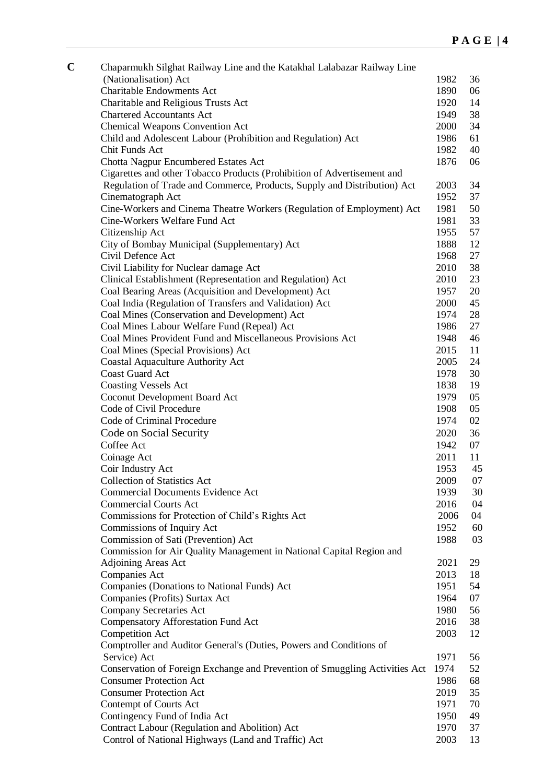| C | Chaparmukh Silghat Railway Line and the Katakhal Lalabazar Railway Line     |      |    |
|---|-----------------------------------------------------------------------------|------|----|
|   | (Nationalisation) Act                                                       | 1982 | 36 |
|   | <b>Charitable Endowments Act</b>                                            | 1890 | 06 |
|   | Charitable and Religious Trusts Act                                         | 1920 | 14 |
|   | <b>Chartered Accountants Act</b>                                            | 1949 | 38 |
|   | <b>Chemical Weapons Convention Act</b>                                      | 2000 | 34 |
|   | Child and Adolescent Labour (Prohibition and Regulation) Act                | 1986 | 61 |
|   | Chit Funds Act                                                              | 1982 | 40 |
|   | Chotta Nagpur Encumbered Estates Act                                        | 1876 | 06 |
|   | Cigarettes and other Tobacco Products (Prohibition of Advertisement and     |      |    |
|   | Regulation of Trade and Commerce, Products, Supply and Distribution) Act    | 2003 | 34 |
|   | Cinematograph Act                                                           | 1952 | 37 |
|   | Cine-Workers and Cinema Theatre Workers (Regulation of Employment) Act      | 1981 | 50 |
|   | Cine-Workers Welfare Fund Act                                               | 1981 | 33 |
|   | Citizenship Act                                                             | 1955 | 57 |
|   | City of Bombay Municipal (Supplementary) Act                                | 1888 | 12 |
|   | Civil Defence Act                                                           | 1968 | 27 |
|   | Civil Liability for Nuclear damage Act                                      | 2010 | 38 |
|   | Clinical Establishment (Representation and Regulation) Act                  | 2010 | 23 |
|   | Coal Bearing Areas (Acquisition and Development) Act                        | 1957 | 20 |
|   | Coal India (Regulation of Transfers and Validation) Act                     | 2000 | 45 |
|   | Coal Mines (Conservation and Development) Act                               | 1974 | 28 |
|   | Coal Mines Labour Welfare Fund (Repeal) Act                                 | 1986 | 27 |
|   | Coal Mines Provident Fund and Miscellaneous Provisions Act                  | 1948 | 46 |
|   | Coal Mines (Special Provisions) Act                                         | 2015 | 11 |
|   | Coastal Aquaculture Authority Act                                           | 2005 | 24 |
|   | <b>Coast Guard Act</b>                                                      | 1978 | 30 |
|   | <b>Coasting Vessels Act</b>                                                 | 1838 | 19 |
|   | Coconut Development Board Act                                               | 1979 | 05 |
|   | Code of Civil Procedure                                                     | 1908 | 05 |
|   | Code of Criminal Procedure                                                  | 1974 | 02 |
|   | Code on Social Security                                                     | 2020 | 36 |
|   | Coffee Act                                                                  | 1942 | 07 |
|   | Coinage Act                                                                 | 2011 | 11 |
|   | Coir Industry Act                                                           | 1953 | 45 |
|   | <b>Collection of Statistics Act</b>                                         | 2009 | 07 |
|   | <b>Commercial Documents Evidence Act</b>                                    | 1939 | 30 |
|   | <b>Commercial Courts Act</b>                                                | 2016 | 04 |
|   | Commissions for Protection of Child's Rights Act                            | 2006 | 04 |
|   | Commissions of Inquiry Act                                                  | 1952 | 60 |
|   | Commission of Sati (Prevention) Act                                         | 1988 | 03 |
|   | Commission for Air Quality Management in National Capital Region and        |      |    |
|   | Adjoining Areas Act                                                         | 2021 | 29 |
|   | Companies Act                                                               | 2013 | 18 |
|   | Companies (Donations to National Funds) Act                                 | 1951 | 54 |
|   | Companies (Profits) Surtax Act                                              | 1964 | 07 |
|   | <b>Company Secretaries Act</b>                                              | 1980 | 56 |
|   | Compensatory Afforestation Fund Act                                         | 2016 | 38 |
|   | Competition Act                                                             | 2003 | 12 |
|   | Comptroller and Auditor General's (Duties, Powers and Conditions of         |      |    |
|   | Service) Act                                                                | 1971 | 56 |
|   | Conservation of Foreign Exchange and Prevention of Smuggling Activities Act | 1974 | 52 |
|   | <b>Consumer Protection Act</b>                                              | 1986 | 68 |
|   | <b>Consumer Protection Act</b>                                              | 2019 | 35 |
|   | Contempt of Courts Act                                                      | 1971 | 70 |
|   | Contingency Fund of India Act                                               | 1950 | 49 |
|   | Contract Labour (Regulation and Abolition) Act                              | 1970 | 37 |
|   | Control of National Highways (Land and Traffic) Act                         | 2003 | 13 |
|   |                                                                             |      |    |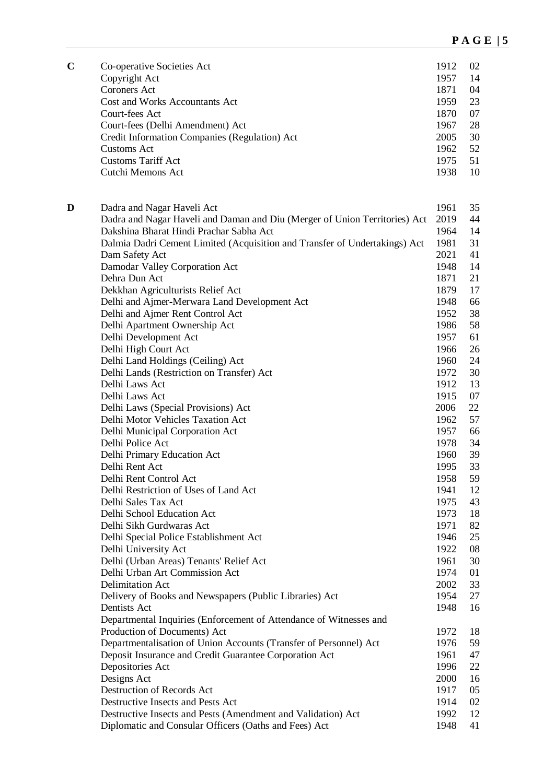| $\mathbf C$ | Co-operative Societies Act<br>Copyright Act<br><b>Coroners Act</b><br>Cost and Works Accountants Act<br>Court-fees Act<br>Court-fees (Delhi Amendment) Act<br>Credit Information Companies (Regulation) Act<br><b>Customs Act</b><br><b>Customs Tariff Act</b><br>Cutchi Memons Act | 1912<br>1957<br>1871<br>1959<br>1870<br>1967<br>2005<br>1962<br>1975<br>1938 | 02<br>14<br>04<br>23<br>07<br>28<br>30<br>52<br>51<br>10 |
|-------------|-------------------------------------------------------------------------------------------------------------------------------------------------------------------------------------------------------------------------------------------------------------------------------------|------------------------------------------------------------------------------|----------------------------------------------------------|
| D           | Dadra and Nagar Haveli Act                                                                                                                                                                                                                                                          | 1961                                                                         | 35                                                       |
|             | Dadra and Nagar Haveli and Daman and Diu (Merger of Union Territories) Act                                                                                                                                                                                                          | 2019                                                                         | 44                                                       |
|             | Dakshina Bharat Hindi Prachar Sabha Act                                                                                                                                                                                                                                             | 1964                                                                         | 14                                                       |
|             | Dalmia Dadri Cement Limited (Acquisition and Transfer of Undertakings) Act                                                                                                                                                                                                          | 1981                                                                         | 31                                                       |
|             | Dam Safety Act                                                                                                                                                                                                                                                                      | 2021                                                                         | 41                                                       |
|             | Damodar Valley Corporation Act                                                                                                                                                                                                                                                      | 1948                                                                         | 14                                                       |
|             | Dehra Dun Act                                                                                                                                                                                                                                                                       | 1871                                                                         | 21                                                       |
|             | Dekkhan Agriculturists Relief Act                                                                                                                                                                                                                                                   | 1879                                                                         | 17                                                       |
|             | Delhi and Ajmer-Merwara Land Development Act                                                                                                                                                                                                                                        | 1948                                                                         | 66                                                       |
|             | Delhi and Ajmer Rent Control Act                                                                                                                                                                                                                                                    | 1952                                                                         | 38                                                       |
|             | Delhi Apartment Ownership Act                                                                                                                                                                                                                                                       | 1986                                                                         | 58                                                       |
|             | Delhi Development Act                                                                                                                                                                                                                                                               | 1957                                                                         | 61                                                       |
|             | Delhi High Court Act                                                                                                                                                                                                                                                                | 1966                                                                         | 26                                                       |
|             | Delhi Land Holdings (Ceiling) Act                                                                                                                                                                                                                                                   | 1960                                                                         | 24                                                       |
|             | Delhi Lands (Restriction on Transfer) Act                                                                                                                                                                                                                                           | 1972                                                                         | 30                                                       |
|             | Delhi Laws Act                                                                                                                                                                                                                                                                      | 1912                                                                         | 13                                                       |
|             | Delhi Laws Act                                                                                                                                                                                                                                                                      | 1915                                                                         | 07                                                       |
|             | Delhi Laws (Special Provisions) Act                                                                                                                                                                                                                                                 | 2006                                                                         | 22                                                       |
|             | Delhi Motor Vehicles Taxation Act                                                                                                                                                                                                                                                   | 1962                                                                         | 57                                                       |
|             | Delhi Municipal Corporation Act                                                                                                                                                                                                                                                     | 1957                                                                         | 66                                                       |
|             | Delhi Police Act                                                                                                                                                                                                                                                                    | 1978                                                                         | 34                                                       |
|             | Delhi Primary Education Act                                                                                                                                                                                                                                                         | 1960                                                                         | 39                                                       |
|             | Delhi Rent Act                                                                                                                                                                                                                                                                      | 1995                                                                         | 33                                                       |
|             | Delhi Rent Control Act                                                                                                                                                                                                                                                              | 1958                                                                         | 59                                                       |
|             | Delhi Restriction of Uses of Land Act                                                                                                                                                                                                                                               | 1941                                                                         | 12                                                       |
|             | Delhi Sales Tax Act                                                                                                                                                                                                                                                                 | 1975                                                                         | 43                                                       |
|             | Delhi School Education Act                                                                                                                                                                                                                                                          | 1973                                                                         | 18                                                       |
|             | Delhi Sikh Gurdwaras Act                                                                                                                                                                                                                                                            | 1971                                                                         | 82                                                       |
|             | Delhi Special Police Establishment Act                                                                                                                                                                                                                                              | 1946                                                                         | 25                                                       |
|             | Delhi University Act                                                                                                                                                                                                                                                                | 1922                                                                         | 08                                                       |
|             | Delhi (Urban Areas) Tenants' Relief Act                                                                                                                                                                                                                                             | 1961                                                                         | 30                                                       |
|             | Delhi Urban Art Commission Act                                                                                                                                                                                                                                                      | 1974                                                                         | 01                                                       |
|             | <b>Delimitation Act</b>                                                                                                                                                                                                                                                             | 2002                                                                         | 33                                                       |
|             | Delivery of Books and Newspapers (Public Libraries) Act                                                                                                                                                                                                                             | 1954                                                                         | 27                                                       |
|             | Dentists Act                                                                                                                                                                                                                                                                        | 1948                                                                         | 16                                                       |
|             | Departmental Inquiries (Enforcement of Attendance of Witnesses and                                                                                                                                                                                                                  |                                                                              |                                                          |
|             | Production of Documents) Act                                                                                                                                                                                                                                                        | 1972                                                                         | 18                                                       |
|             | Departmentalisation of Union Accounts (Transfer of Personnel) Act                                                                                                                                                                                                                   | 1976                                                                         | 59                                                       |
|             | Deposit Insurance and Credit Guarantee Corporation Act                                                                                                                                                                                                                              | 1961                                                                         | 47                                                       |
|             | Depositories Act                                                                                                                                                                                                                                                                    | 1996                                                                         | 22                                                       |
|             | Designs Act                                                                                                                                                                                                                                                                         | 2000                                                                         | 16                                                       |
|             | Destruction of Records Act                                                                                                                                                                                                                                                          | 1917                                                                         | 05                                                       |
|             | Destructive Insects and Pests Act                                                                                                                                                                                                                                                   | 1914                                                                         | 02                                                       |
|             | Destructive Insects and Pests (Amendment and Validation) Act                                                                                                                                                                                                                        | 1992                                                                         | 12                                                       |
|             | Diplomatic and Consular Officers (Oaths and Fees) Act                                                                                                                                                                                                                               | 1948                                                                         | 41                                                       |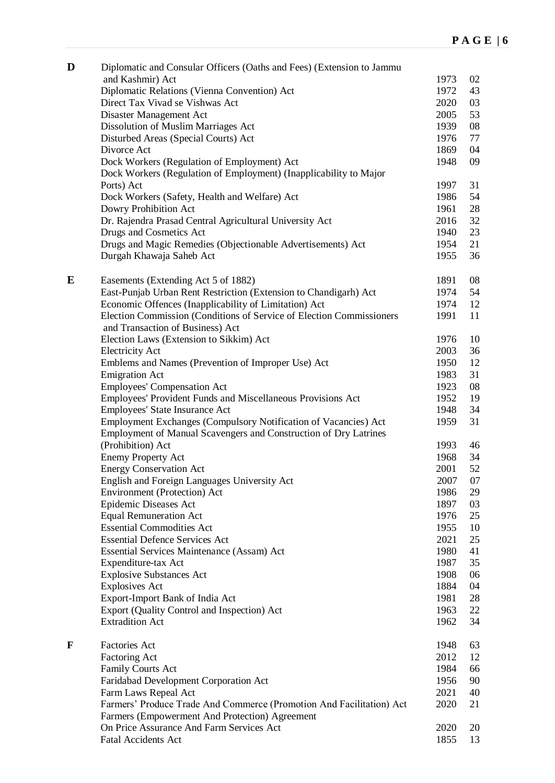| D         | Diplomatic and Consular Officers (Oaths and Fees) (Extension to Jammu |      |    |
|-----------|-----------------------------------------------------------------------|------|----|
|           | and Kashmir) Act                                                      | 1973 | 02 |
|           | Diplomatic Relations (Vienna Convention) Act                          | 1972 | 43 |
|           | Direct Tax Vivad se Vishwas Act                                       | 2020 | 03 |
|           | Disaster Management Act                                               | 2005 | 53 |
|           | Dissolution of Muslim Marriages Act                                   | 1939 | 08 |
|           |                                                                       |      | 77 |
|           | Disturbed Areas (Special Courts) Act                                  | 1976 |    |
|           | Divorce Act                                                           | 1869 | 04 |
|           | Dock Workers (Regulation of Employment) Act                           | 1948 | 09 |
|           | Dock Workers (Regulation of Employment) (Inapplicability to Major     |      |    |
|           | Ports) Act                                                            | 1997 | 31 |
|           | Dock Workers (Safety, Health and Welfare) Act                         | 1986 | 54 |
|           | Dowry Prohibition Act                                                 | 1961 | 28 |
|           | Dr. Rajendra Prasad Central Agricultural University Act               | 2016 | 32 |
|           | Drugs and Cosmetics Act                                               | 1940 | 23 |
|           | Drugs and Magic Remedies (Objectionable Advertisements) Act           | 1954 | 21 |
|           | Durgah Khawaja Saheb Act                                              | 1955 | 36 |
|           |                                                                       |      |    |
| ${\bf E}$ | Easements (Extending Act 5 of 1882)                                   | 1891 | 08 |
|           | East-Punjab Urban Rent Restriction (Extension to Chandigarh) Act      | 1974 | 54 |
|           |                                                                       | 1974 |    |
|           | Economic Offences (Inapplicability of Limitation) Act                 |      | 12 |
|           | Election Commission (Conditions of Service of Election Commissioners  | 1991 | 11 |
|           | and Transaction of Business) Act                                      |      |    |
|           | Election Laws (Extension to Sikkim) Act                               | 1976 | 10 |
|           | <b>Electricity Act</b>                                                | 2003 | 36 |
|           | Emblems and Names (Prevention of Improper Use) Act                    | 1950 | 12 |
|           | <b>Emigration Act</b>                                                 | 1983 | 31 |
|           | <b>Employees' Compensation Act</b>                                    | 1923 | 08 |
|           | Employees' Provident Funds and Miscellaneous Provisions Act           | 1952 | 19 |
|           | Employees' State Insurance Act                                        | 1948 | 34 |
|           | Employment Exchanges (Compulsory Notification of Vacancies) Act       | 1959 | 31 |
|           | Employment of Manual Scavengers and Construction of Dry Latrines      |      |    |
|           | (Prohibition) Act                                                     | 1993 | 46 |
|           |                                                                       |      | 34 |
|           | <b>Enemy Property Act</b>                                             | 1968 |    |
|           | <b>Energy Conservation Act</b>                                        | 2001 | 52 |
|           | English and Foreign Languages University Act                          | 2007 | 07 |
|           | <b>Environment</b> (Protection) Act                                   | 1986 | 29 |
|           | Epidemic Diseases Act                                                 | 1897 | 03 |
|           | <b>Equal Remuneration Act</b>                                         | 1976 | 25 |
|           | <b>Essential Commodities Act</b>                                      | 1955 | 10 |
|           | <b>Essential Defence Services Act</b>                                 | 2021 | 25 |
|           | <b>Essential Services Maintenance (Assam) Act</b>                     | 1980 | 41 |
|           | Expenditure-tax Act                                                   | 1987 | 35 |
|           | <b>Explosive Substances Act</b>                                       | 1908 | 06 |
|           | <b>Explosives Act</b>                                                 | 1884 | 04 |
|           | Export-Import Bank of India Act                                       | 1981 | 28 |
|           |                                                                       |      |    |
|           | Export (Quality Control and Inspection) Act                           | 1963 | 22 |
|           | <b>Extradition Act</b>                                                | 1962 | 34 |
| F         | Factories Act                                                         | 1948 | 63 |
|           |                                                                       |      | 12 |
|           | Factoring Act                                                         | 2012 |    |
|           | Family Courts Act                                                     | 1984 | 66 |
|           | Faridabad Development Corporation Act                                 | 1956 | 90 |
|           | Farm Laws Repeal Act                                                  | 2021 | 40 |
|           | Farmers' Produce Trade And Commerce (Promotion And Facilitation) Act  | 2020 | 21 |
|           | Farmers (Empowerment And Protection) Agreement                        |      |    |
|           | On Price Assurance And Farm Services Act                              | 2020 | 20 |
|           | Fatal Accidents Act                                                   | 1855 | 13 |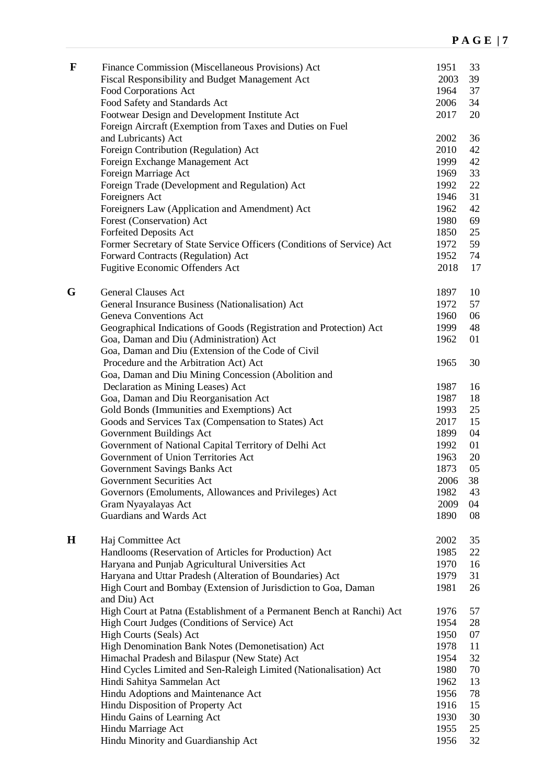| $\mathbf F$ | Finance Commission (Miscellaneous Provisions) Act<br>Fiscal Responsibility and Budget Management Act | 1951<br>2003 | 33<br>39 |
|-------------|------------------------------------------------------------------------------------------------------|--------------|----------|
|             | Food Corporations Act                                                                                | 1964         | 37       |
|             | Food Safety and Standards Act                                                                        | 2006         | 34       |
|             | Footwear Design and Development Institute Act                                                        | 2017         | 20       |
|             | Foreign Aircraft (Exemption from Taxes and Duties on Fuel                                            |              |          |
|             | and Lubricants) Act                                                                                  | 2002         | 36       |
|             | Foreign Contribution (Regulation) Act<br>Foreign Exchange Management Act                             | 2010<br>1999 | 42<br>42 |
|             | Foreign Marriage Act                                                                                 | 1969         | 33       |
|             | Foreign Trade (Development and Regulation) Act                                                       | 1992         | 22       |
|             | Foreigners Act                                                                                       | 1946         | 31       |
|             | Foreigners Law (Application and Amendment) Act                                                       | 1962         | 42       |
|             | Forest (Conservation) Act                                                                            | 1980         | 69       |
|             | <b>Forfeited Deposits Act</b>                                                                        | 1850         | 25       |
|             | Former Secretary of State Service Officers (Conditions of Service) Act                               | 1972         | 59       |
|             | Forward Contracts (Regulation) Act                                                                   | 1952         | 74       |
|             | Fugitive Economic Offenders Act                                                                      | 2018         | 17       |
| G           | <b>General Clauses Act</b>                                                                           | 1897         | 10       |
|             | General Insurance Business (Nationalisation) Act                                                     | 1972         | 57       |
|             | <b>Geneva Conventions Act</b>                                                                        | 1960         | 06       |
|             | Geographical Indications of Goods (Registration and Protection) Act                                  | 1999         | 48       |
|             | Goa, Daman and Diu (Administration) Act                                                              | 1962         | 01       |
|             | Goa, Daman and Diu (Extension of the Code of Civil                                                   |              |          |
|             | Procedure and the Arbitration Act) Act                                                               | 1965         | 30       |
|             | Goa, Daman and Diu Mining Concession (Abolition and                                                  |              |          |
|             | Declaration as Mining Leases) Act                                                                    | 1987         | 16       |
|             | Goa, Daman and Diu Reorganisation Act                                                                | 1987         | 18       |
|             | Gold Bonds (Immunities and Exemptions) Act                                                           | 1993         | 25       |
|             | Goods and Services Tax (Compensation to States) Act                                                  | 2017         | 15       |
|             | Government Buildings Act<br>Government of National Capital Territory of Delhi Act                    | 1899<br>1992 | 04<br>01 |
|             | Government of Union Territories Act                                                                  | 1963         | 20       |
|             | Government Savings Banks Act                                                                         | 1873         | 05       |
|             | Government Securities Act                                                                            | 2006         | 38       |
|             | Governors (Emoluments, Allowances and Privileges) Act                                                | 1982         | 43       |
|             | Gram Nyayalayas Act                                                                                  | 2009         | 04       |
|             | Guardians and Wards Act                                                                              | 1890         | 08       |
|             |                                                                                                      |              |          |
| $\mathbf H$ | Haj Committee Act                                                                                    | 2002         | 35       |
|             | Handlooms (Reservation of Articles for Production) Act                                               | 1985         | 22       |
|             | Haryana and Punjab Agricultural Universities Act                                                     | 1970         | 16       |
|             | Haryana and Uttar Pradesh (Alteration of Boundaries) Act                                             | 1979         | 31       |
|             | High Court and Bombay (Extension of Jurisdiction to Goa, Daman<br>and Diu) Act                       | 1981         | 26       |
|             | High Court at Patna (Establishment of a Permanent Bench at Ranchi) Act                               | 1976         | 57       |
|             | High Court Judges (Conditions of Service) Act                                                        | 1954         | 28       |
|             | High Courts (Seals) Act                                                                              | 1950         | 07       |
|             | High Denomination Bank Notes (Demonetisation) Act                                                    | 1978         | 11       |
|             | Himachal Pradesh and Bilaspur (New State) Act                                                        | 1954         | 32       |
|             | Hind Cycles Limited and Sen-Raleigh Limited (Nationalisation) Act                                    | 1980         | 70       |
|             | Hindi Sahitya Sammelan Act                                                                           | 1962         | 13       |
|             | Hindu Adoptions and Maintenance Act                                                                  | 1956         | 78       |
|             | Hindu Disposition of Property Act                                                                    | 1916         | 15       |
|             | Hindu Gains of Learning Act                                                                          | 1930         | 30       |
|             | Hindu Marriage Act                                                                                   | 1955         | 25       |
|             | Hindu Minority and Guardianship Act                                                                  | 1956         | 32       |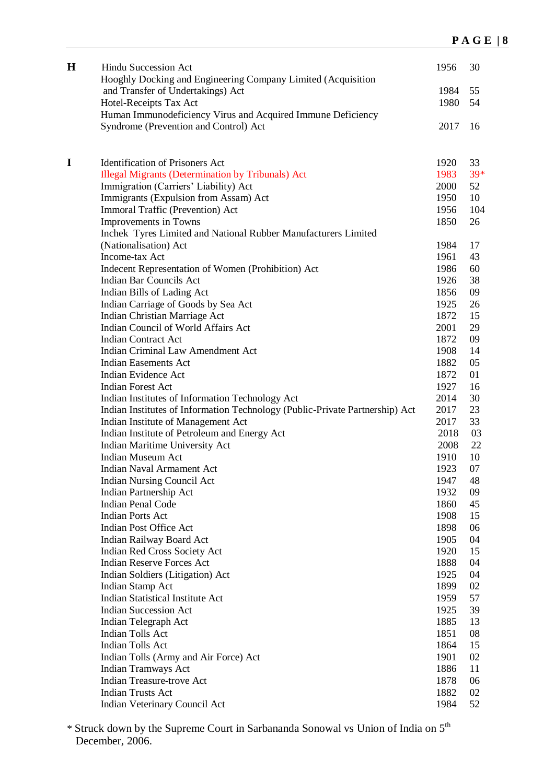| $\bf H$     | Hindu Succession Act<br>Hooghly Docking and Engineering Company Limited (Acquisition | 1956         | 30       |
|-------------|--------------------------------------------------------------------------------------|--------------|----------|
|             | and Transfer of Undertakings) Act                                                    | 1984         | 55       |
|             | Hotel-Receipts Tax Act                                                               | 1980         | 54       |
|             | Human Immunodeficiency Virus and Acquired Immune Deficiency                          |              |          |
|             | Syndrome (Prevention and Control) Act                                                | 2017         | 16       |
|             |                                                                                      |              |          |
| $\mathbf I$ | <b>Identification of Prisoners Act</b>                                               | 1920         | 33       |
|             | <b>Illegal Migrants (Determination by Tribunals)</b> Act                             | 1983         | 39*      |
|             | Immigration (Carriers' Liability) Act                                                | 2000         | 52       |
|             | Immigrants (Expulsion from Assam) Act                                                | 1950         | 10       |
|             | Immoral Traffic (Prevention) Act                                                     | 1956         | 104      |
|             | Improvements in Towns                                                                | 1850         | 26       |
|             | Inchek Tyres Limited and National Rubber Manufacturers Limited                       |              |          |
|             | (Nationalisation) Act                                                                | 1984         | 17       |
|             | Income-tax Act                                                                       | 1961         | 43       |
|             | Indecent Representation of Women (Prohibition) Act                                   | 1986         | 60       |
|             | <b>Indian Bar Councils Act</b>                                                       | 1926         | 38       |
|             | Indian Bills of Lading Act                                                           | 1856         | 09       |
|             | Indian Carriage of Goods by Sea Act                                                  | 1925         | 26       |
|             | Indian Christian Marriage Act                                                        | 1872         | 15       |
|             | Indian Council of World Affairs Act                                                  | 2001         | 29       |
|             | <b>Indian Contract Act</b>                                                           | 1872         | 09       |
|             | <b>Indian Criminal Law Amendment Act</b>                                             | 1908         | 14       |
|             | <b>Indian Easements Act</b>                                                          | 1882         | 05       |
|             | Indian Evidence Act                                                                  | 1872         | 01       |
|             | <b>Indian Forest Act</b>                                                             | 1927         | 16       |
|             | Indian Institutes of Information Technology Act                                      | 2014         | 30       |
|             | Indian Institutes of Information Technology (Public-Private Partnership) Act         | 2017         | 23       |
|             | Indian Institute of Management Act                                                   | 2017         | 33       |
|             | Indian Institute of Petroleum and Energy Act                                         | 2018         | 03       |
|             | Indian Maritime University Act                                                       | 2008         | 22       |
|             | <b>Indian Museum Act</b>                                                             | 1910         | 10       |
|             | Indian Naval Armament Act                                                            | 1923         | 07       |
|             | <b>Indian Nursing Council Act</b>                                                    | 1947         | 48       |
|             | Indian Partnership Act                                                               | 1932         | 09       |
|             | <b>Indian Penal Code</b><br><b>Indian Ports Act</b>                                  | 1860         | 45       |
|             |                                                                                      | 1908         | 15       |
|             | <b>Indian Post Office Act</b>                                                        | 1898         | 06       |
|             | <b>Indian Railway Board Act</b>                                                      | 1905         | 04       |
|             | Indian Red Cross Society Act<br><b>Indian Reserve Forces Act</b>                     | 1920         | 15<br>04 |
|             |                                                                                      | 1888<br>1925 | 04       |
|             | Indian Soldiers (Litigation) Act<br>Indian Stamp Act                                 | 1899         | 02       |
|             | <b>Indian Statistical Institute Act</b>                                              | 1959         | 57       |
|             | <b>Indian Succession Act</b>                                                         | 1925         | 39       |
|             |                                                                                      | 1885         | 13       |
|             | Indian Telegraph Act<br>Indian Tolls Act                                             | 1851         | 08       |
|             | Indian Tolls Act                                                                     | 1864         | 15       |
|             | Indian Tolls (Army and Air Force) Act                                                | 1901         | 02       |
|             | Indian Tramways Act                                                                  | 1886         | 11       |
|             | Indian Treasure-trove Act                                                            | 1878         | 06       |
|             | <b>Indian Trusts Act</b>                                                             | 1882         | 02       |
|             | Indian Veterinary Council Act                                                        | 1984         | 52       |
|             |                                                                                      |              |          |

\* Struck down by the Supreme Court in Sarbananda Sonowal vs Union of India on 5th December, 2006.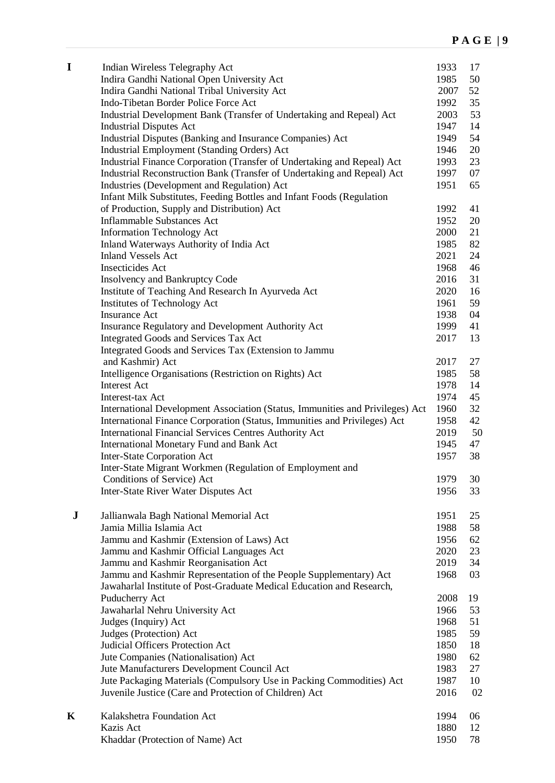| I         | Indian Wireless Telegraphy Act<br>Indira Gandhi National Open University Act<br>Indira Gandhi National Tribal University Act<br>Indo-Tibetan Border Police Force Act<br>Industrial Development Bank (Transfer of Undertaking and Repeal) Act<br><b>Industrial Disputes Act</b><br>Industrial Disputes (Banking and Insurance Companies) Act<br>Industrial Employment (Standing Orders) Act<br>Industrial Finance Corporation (Transfer of Undertaking and Repeal) Act<br>Industrial Reconstruction Bank (Transfer of Undertaking and Repeal) Act<br>Industries (Development and Regulation) Act<br>Infant Milk Substitutes, Feeding Bottles and Infant Foods (Regulation<br>of Production, Supply and Distribution) Act<br><b>Inflammable Substances Act</b><br><b>Information Technology Act</b><br>Inland Waterways Authority of India Act<br><b>Inland Vessels Act</b><br>Insecticides Act<br><b>Insolvency and Bankruptcy Code</b><br>Institute of Teaching And Research In Ayurveda Act<br>Institutes of Technology Act<br><b>Insurance Act</b><br>Insurance Regulatory and Development Authority Act<br>Integrated Goods and Services Tax Act<br>Integrated Goods and Services Tax (Extension to Jammu<br>and Kashmir) Act<br>Intelligence Organisations (Restriction on Rights) Act<br><b>Interest Act</b><br>Interest-tax Act<br>International Development Association (Status, Immunities and Privileges) Act<br>International Finance Corporation (Status, Immunities and Privileges) Act<br><b>International Financial Services Centres Authority Act</b><br>International Monetary Fund and Bank Act<br>Inter-State Corporation Act | 1933<br>1985<br>2007<br>1992<br>2003<br>1947<br>1949<br>1946<br>1993<br>1997<br>1951<br>1992<br>1952<br>2000<br>1985<br>2021<br>1968<br>2016<br>2020<br>1961<br>1938<br>1999<br>2017<br>2017<br>1985<br>1978<br>1974<br>1960<br>1958<br>2019<br>1945<br>1957 | 17<br>50<br>52<br>35<br>53<br>14<br>54<br>20<br>23<br>07<br>65<br>41<br>20<br>21<br>82<br>24<br>46<br>31<br>16<br>59<br>04<br>41<br>13<br>27<br>58<br>14<br>45<br>32<br>42<br>50<br>47<br>38 |
|-----------|-------------------------------------------------------------------------------------------------------------------------------------------------------------------------------------------------------------------------------------------------------------------------------------------------------------------------------------------------------------------------------------------------------------------------------------------------------------------------------------------------------------------------------------------------------------------------------------------------------------------------------------------------------------------------------------------------------------------------------------------------------------------------------------------------------------------------------------------------------------------------------------------------------------------------------------------------------------------------------------------------------------------------------------------------------------------------------------------------------------------------------------------------------------------------------------------------------------------------------------------------------------------------------------------------------------------------------------------------------------------------------------------------------------------------------------------------------------------------------------------------------------------------------------------------------------------------------------------------------------------------------------------------|--------------------------------------------------------------------------------------------------------------------------------------------------------------------------------------------------------------------------------------------------------------|----------------------------------------------------------------------------------------------------------------------------------------------------------------------------------------------|
|           | Inter-State Migrant Workmen (Regulation of Employment and<br>Conditions of Service) Act                                                                                                                                                                                                                                                                                                                                                                                                                                                                                                                                                                                                                                                                                                                                                                                                                                                                                                                                                                                                                                                                                                                                                                                                                                                                                                                                                                                                                                                                                                                                                         | 1979                                                                                                                                                                                                                                                         | 30                                                                                                                                                                                           |
|           | Inter-State River Water Disputes Act                                                                                                                                                                                                                                                                                                                                                                                                                                                                                                                                                                                                                                                                                                                                                                                                                                                                                                                                                                                                                                                                                                                                                                                                                                                                                                                                                                                                                                                                                                                                                                                                            | 1956                                                                                                                                                                                                                                                         | 33                                                                                                                                                                                           |
| ${\bf J}$ | Jallianwala Bagh National Memorial Act<br>Jamia Millia Islamia Act<br>Jammu and Kashmir (Extension of Laws) Act<br>Jammu and Kashmir Official Languages Act<br>Jammu and Kashmir Reorganisation Act<br>Jammu and Kashmir Representation of the People Supplementary) Act<br>Jawaharlal Institute of Post-Graduate Medical Education and Research,<br>Puducherry Act<br>Jawaharlal Nehru University Act<br>Judges (Inquiry) Act<br>Judges (Protection) Act<br>Judicial Officers Protection Act<br>Jute Companies (Nationalisation) Act<br>Jute Manufacturers Development Council Act<br>Jute Packaging Materials (Compulsory Use in Packing Commodities) Act<br>Juvenile Justice (Care and Protection of Children) Act                                                                                                                                                                                                                                                                                                                                                                                                                                                                                                                                                                                                                                                                                                                                                                                                                                                                                                                           | 1951<br>1988<br>1956<br>2020<br>2019<br>1968<br>2008<br>1966<br>1968<br>1985<br>1850<br>1980<br>1983<br>1987<br>2016                                                                                                                                         | 25<br>58<br>62<br>23<br>34<br>03<br>19<br>53<br>51<br>59<br>18<br>62<br>27<br>10<br>02                                                                                                       |
| K         | Kalakshetra Foundation Act<br>Kazis Act<br>Khaddar (Protection of Name) Act                                                                                                                                                                                                                                                                                                                                                                                                                                                                                                                                                                                                                                                                                                                                                                                                                                                                                                                                                                                                                                                                                                                                                                                                                                                                                                                                                                                                                                                                                                                                                                     | 1994<br>1880<br>1950                                                                                                                                                                                                                                         | 06<br>12<br>78                                                                                                                                                                               |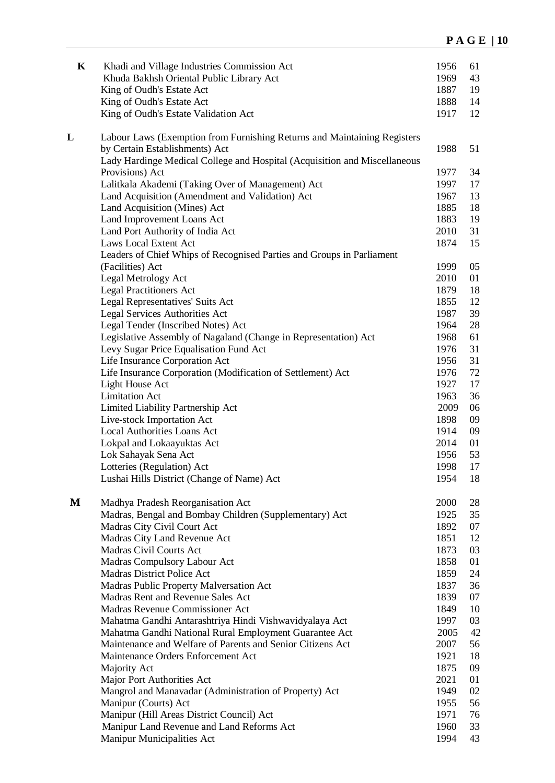| $\mathbf K$ | Khadi and Village Industries Commission Act                               | 1956         | 61       |
|-------------|---------------------------------------------------------------------------|--------------|----------|
|             | Khuda Bakhsh Oriental Public Library Act                                  | 1969         | 43       |
|             | King of Oudh's Estate Act                                                 | 1887         | 19       |
|             | King of Oudh's Estate Act                                                 | 1888         | 14       |
|             | King of Oudh's Estate Validation Act                                      | 1917         | 12       |
| L           | Labour Laws (Exemption from Furnishing Returns and Maintaining Registers  |              |          |
|             | by Certain Establishments) Act                                            | 1988         | 51       |
|             | Lady Hardinge Medical College and Hospital (Acquisition and Miscellaneous |              |          |
|             | Provisions) Act                                                           | 1977         | 34       |
|             | Lalitkala Akademi (Taking Over of Management) Act                         | 1997         | 17       |
|             | Land Acquisition (Amendment and Validation) Act                           | 1967         | 13       |
|             | Land Acquisition (Mines) Act                                              | 1885         | 18       |
|             | Land Improvement Loans Act                                                | 1883         | 19       |
|             | Land Port Authority of India Act                                          | 2010         | 31       |
|             | <b>Laws Local Extent Act</b>                                              | 1874         | 15       |
|             | Leaders of Chief Whips of Recognised Parties and Groups in Parliament     |              |          |
|             | (Facilities) Act                                                          | 1999         | 05       |
|             | Legal Metrology Act                                                       | 2010         | 01       |
|             | <b>Legal Practitioners Act</b>                                            | 1879         | 18       |
|             | Legal Representatives' Suits Act                                          | 1855         | 12<br>39 |
|             | Legal Services Authorities Act<br>Legal Tender (Inscribed Notes) Act      | 1987<br>1964 | 28       |
|             | Legislative Assembly of Nagaland (Change in Representation) Act           | 1968         | 61       |
|             | Levy Sugar Price Equalisation Fund Act                                    | 1976         | 31       |
|             | Life Insurance Corporation Act                                            | 1956         | 31       |
|             | Life Insurance Corporation (Modification of Settlement) Act               | 1976         | 72       |
|             | Light House Act                                                           | 1927         | 17       |
|             | <b>Limitation Act</b>                                                     | 1963         | 36       |
|             | Limited Liability Partnership Act                                         | 2009         | 06       |
|             | Live-stock Importation Act                                                | 1898         | 09       |
|             | Local Authorities Loans Act                                               | 1914         | 09       |
|             | Lokpal and Lokaayuktas Act                                                | 2014         | 01       |
|             | Lok Sahayak Sena Act                                                      | 1956         | 53       |
|             | Lotteries (Regulation) Act                                                | 1998         | 17       |
|             | Lushai Hills District (Change of Name) Act                                | 1954         | 18       |
| M           | Madhya Pradesh Reorganisation Act                                         | 2000         | 28       |
|             | Madras, Bengal and Bombay Children (Supplementary) Act                    | 1925         | 35       |
|             | Madras City Civil Court Act                                               | 1892         | 07       |
|             | Madras City Land Revenue Act                                              | 1851         | 12       |
|             | Madras Civil Courts Act                                                   | 1873         | 03       |
|             | Madras Compulsory Labour Act                                              | 1858         | 01       |
|             | Madras District Police Act                                                | 1859         | 24       |
|             | Madras Public Property Malversation Act                                   | 1837         | 36       |
|             | Madras Rent and Revenue Sales Act                                         | 1839         | 07       |
|             | Madras Revenue Commissioner Act                                           | 1849         | 10       |
|             | Mahatma Gandhi Antarashtriya Hindi Vishwavidyalaya Act                    | 1997         | 03       |
|             | Mahatma Gandhi National Rural Employment Guarantee Act                    | 2005         | 42       |
|             | Maintenance and Welfare of Parents and Senior Citizens Act                | 2007         | 56       |
|             | Maintenance Orders Enforcement Act                                        | 1921         | 18       |
|             | Majority Act                                                              | 1875         | 09       |
|             | Major Port Authorities Act                                                | 2021         | 01       |
|             | Mangrol and Manavadar (Administration of Property) Act                    | 1949         | 02       |
|             | Manipur (Courts) Act                                                      | 1955         | 56       |
|             | Manipur (Hill Areas District Council) Act                                 | 1971         | 76       |
|             | Manipur Land Revenue and Land Reforms Act                                 | 1960         | 33       |
|             | Manipur Municipalities Act                                                | 1994         | 43       |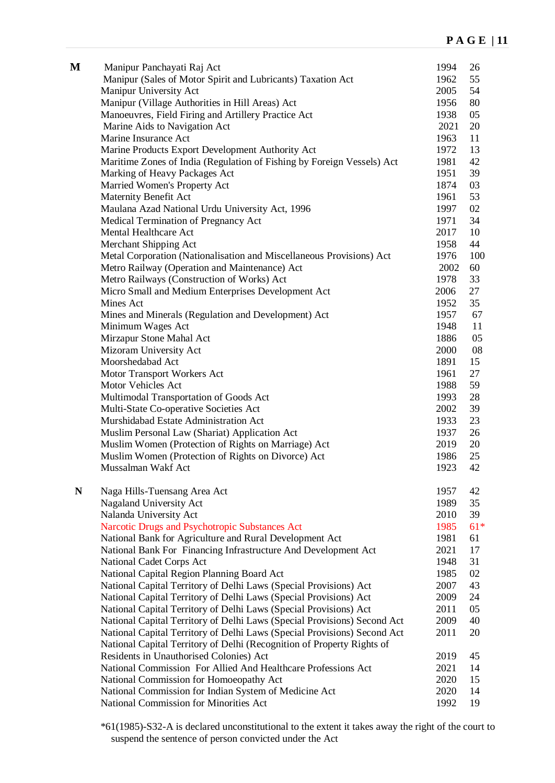| M | Manipur Panchayati Raj Act<br>Manipur (Sales of Motor Spirit and Lubricants) Taxation Act | 1994<br>1962 | 26<br>55 |
|---|-------------------------------------------------------------------------------------------|--------------|----------|
|   | Manipur University Act                                                                    | 2005         | 54       |
|   | Manipur (Village Authorities in Hill Areas) Act                                           | 1956         | 80       |
|   | Manoeuvres, Field Firing and Artillery Practice Act                                       | 1938         | 05       |
|   | Marine Aids to Navigation Act                                                             | 2021         | 20       |
|   | Marine Insurance Act                                                                      | 1963         | 11       |
|   | Marine Products Export Development Authority Act                                          | 1972         | 13       |
|   | Maritime Zones of India (Regulation of Fishing by Foreign Vessels) Act                    | 1981         | 42       |
|   | Marking of Heavy Packages Act                                                             | 1951         | 39       |
|   | Married Women's Property Act                                                              | 1874         | 03       |
|   | Maternity Benefit Act                                                                     | 1961         | 53       |
|   | Maulana Azad National Urdu University Act, 1996                                           | 1997         | 02       |
|   | Medical Termination of Pregnancy Act                                                      | 1971         | 34       |
|   | Mental Healthcare Act                                                                     | 2017         | 10       |
|   | Merchant Shipping Act                                                                     | 1958         | 44       |
|   |                                                                                           | 1976         | 100      |
|   | Metal Corporation (Nationalisation and Miscellaneous Provisions) Act                      | 2002         | 60       |
|   | Metro Railway (Operation and Maintenance) Act                                             | 1978         | 33       |
|   | Metro Railways (Construction of Works) Act                                                |              |          |
|   | Micro Small and Medium Enterprises Development Act                                        | 2006         | 27       |
|   | Mines Act                                                                                 | 1952         | 35       |
|   | Mines and Minerals (Regulation and Development) Act                                       | 1957         | 67       |
|   | Minimum Wages Act                                                                         | 1948         | 11       |
|   | Mirzapur Stone Mahal Act                                                                  | 1886         | 05       |
|   | Mizoram University Act                                                                    | 2000         | 08       |
|   | Moorshedabad Act                                                                          | 1891         | 15       |
|   | Motor Transport Workers Act                                                               | 1961         | 27       |
|   | Motor Vehicles Act                                                                        | 1988         | 59       |
|   | Multimodal Transportation of Goods Act                                                    | 1993         | 28       |
|   | Multi-State Co-operative Societies Act<br>Murshidabad Estate Administration Act           | 2002         | 39       |
|   |                                                                                           | 1933         | 23       |
|   | Muslim Personal Law (Shariat) Application Act                                             | 1937         | 26       |
|   | Muslim Women (Protection of Rights on Marriage) Act                                       | 2019         | 20       |
|   | Muslim Women (Protection of Rights on Divorce) Act<br>Mussalman Wakf Act                  | 1986         | 25       |
|   |                                                                                           | 1923         | 42       |
| N | Naga Hills-Tuensang Area Act                                                              | 1957         | 42       |
|   | Nagaland University Act                                                                   | 1989         | 35       |
|   | Nalanda University Act                                                                    | 2010         | 39       |
|   | Narcotic Drugs and Psychotropic Substances Act                                            | 1985         | $61*$    |
|   | National Bank for Agriculture and Rural Development Act                                   | 1981         | 61       |
|   | National Bank For Financing Infrastructure And Development Act                            | 2021         | 17       |
|   | National Cadet Corps Act                                                                  | 1948         | 31       |
|   | National Capital Region Planning Board Act                                                | 1985         | 02       |
|   | National Capital Territory of Delhi Laws (Special Provisions) Act                         | 2007         | 43       |
|   | National Capital Territory of Delhi Laws (Special Provisions) Act                         | 2009         | 24       |
|   | National Capital Territory of Delhi Laws (Special Provisions) Act                         | 2011         | 05       |
|   | National Capital Territory of Delhi Laws (Special Provisions) Second Act                  | 2009         | 40       |
|   | National Capital Territory of Delhi Laws (Special Provisions) Second Act                  | 2011         | 20       |
|   | National Capital Territory of Delhi (Recognition of Property Rights of                    |              |          |
|   | Residents in Unauthorised Colonies) Act                                                   | 2019         | 45       |
|   | National Commission For Allied And Healthcare Professions Act                             | 2021         | 14       |
|   | National Commission for Homoeopathy Act                                                   | 2020         | 15       |
|   | National Commission for Indian System of Medicine Act                                     | 2020         | 14       |
|   | National Commission for Minorities Act                                                    | 1992         | 19       |

\*61(1985)-S32-A is declared unconstitutional to the extent it takes away the right of the court to suspend the sentence of person convicted under the Act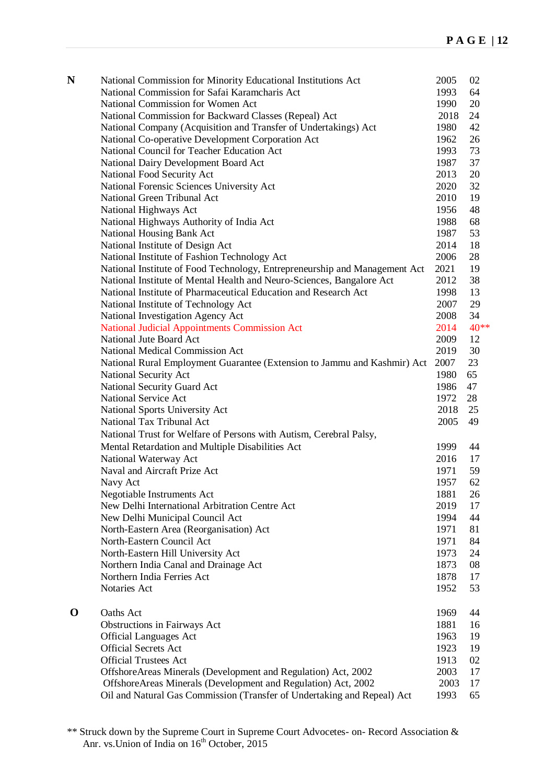| N           | National Commission for Minority Educational Institutions Act              | 2005 | 02   |
|-------------|----------------------------------------------------------------------------|------|------|
|             | National Commission for Safai Karamcharis Act                              | 1993 | 64   |
|             | National Commission for Women Act                                          | 1990 | 20   |
|             | National Commission for Backward Classes (Repeal) Act                      | 2018 | 24   |
|             | National Company (Acquisition and Transfer of Undertakings) Act            | 1980 | 42   |
|             | National Co-operative Development Corporation Act                          | 1962 | 26   |
|             | National Council for Teacher Education Act                                 | 1993 | 73   |
|             | National Dairy Development Board Act                                       | 1987 | 37   |
|             | National Food Security Act                                                 | 2013 | 20   |
|             | National Forensic Sciences University Act                                  | 2020 | 32   |
|             | National Green Tribunal Act                                                | 2010 | 19   |
|             | National Highways Act                                                      | 1956 | 48   |
|             | National Highways Authority of India Act                                   | 1988 | 68   |
|             |                                                                            | 1987 | 53   |
|             | National Housing Bank Act                                                  |      |      |
|             | National Institute of Design Act                                           | 2014 | 18   |
|             | National Institute of Fashion Technology Act                               | 2006 | 28   |
|             | National Institute of Food Technology, Entrepreneurship and Management Act | 2021 | 19   |
|             | National Institute of Mental Health and Neuro-Sciences, Bangalore Act      | 2012 | 38   |
|             | National Institute of Pharmaceutical Education and Research Act            | 1998 | 13   |
|             | National Institute of Technology Act                                       | 2007 | 29   |
|             | National Investigation Agency Act                                          | 2008 | 34   |
|             | <b>National Judicial Appointments Commission Act</b>                       | 2014 | 40** |
|             | National Jute Board Act                                                    | 2009 | 12   |
|             | National Medical Commission Act                                            | 2019 | 30   |
|             | National Rural Employment Guarantee (Extension to Jammu and Kashmir) Act   | 2007 | 23   |
|             | National Security Act                                                      | 1980 | 65   |
|             | National Security Guard Act                                                | 1986 | 47   |
|             | <b>National Service Act</b>                                                | 1972 | 28   |
|             | National Sports University Act                                             | 2018 | 25   |
|             | National Tax Tribunal Act                                                  | 2005 | 49   |
|             | National Trust for Welfare of Persons with Autism, Cerebral Palsy,         |      |      |
|             | Mental Retardation and Multiple Disabilities Act                           | 1999 | 44   |
|             | National Waterway Act                                                      | 2016 | 17   |
|             | Naval and Aircraft Prize Act                                               | 1971 | 59   |
|             | Navy Act                                                                   | 1957 | 62   |
|             | Negotiable Instruments Act                                                 | 1881 | 26   |
|             | New Delhi International Arbitration Centre Act                             | 2019 | 17   |
|             | New Delhi Municipal Council Act                                            | 1994 | 44   |
|             | North-Eastern Area (Reorganisation) Act                                    | 1971 | 81   |
|             | North-Eastern Council Act                                                  | 1971 | 84   |
|             | North-Eastern Hill University Act                                          | 1973 | 24   |
|             |                                                                            |      |      |
|             | Northern India Canal and Drainage Act<br>Northern India Ferries Act        | 1873 | 08   |
|             |                                                                            | 1878 | 17   |
|             | Notaries Act                                                               | 1952 | 53   |
| $\mathbf 0$ | Oaths Act                                                                  | 1969 | 44   |
|             | Obstructions in Fairways Act                                               | 1881 | 16   |
|             | <b>Official Languages Act</b>                                              | 1963 | 19   |
|             | <b>Official Secrets Act</b>                                                | 1923 | 19   |
|             | <b>Official Trustees Act</b>                                               | 1913 | 02   |
|             | OffshoreAreas Minerals (Development and Regulation) Act, 2002              | 2003 | 17   |
|             | OffshoreAreas Minerals (Development and Regulation) Act, 2002              | 2003 | 17   |
|             | Oil and Natural Gas Commission (Transfer of Undertaking and Repeal) Act    | 1993 | 65   |

<sup>\*\*</sup> Struck down by the Supreme Court in Supreme Court Advocetes- on- Record Association & Anr. vs. Union of India on 16<sup>th</sup> October, 2015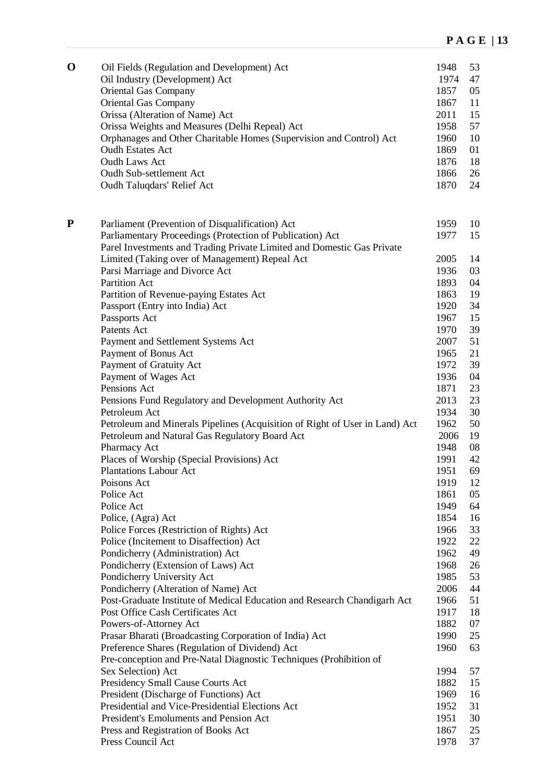| $\mathbf 0$ | Oil Fields (Regulation and Development) Act<br>Oil Industry (Development) Act        | 1948<br>1974 | 53<br>47 |
|-------------|--------------------------------------------------------------------------------------|--------------|----------|
|             | <b>Oriental Gas Company</b>                                                          | 1857         | 05       |
|             | <b>Oriental Gas Company</b><br>Orissa (Alteration of Name) Act                       | 1867<br>2011 | 11<br>15 |
|             | Orissa Weights and Measures (Delhi Repeal) Act                                       | 1958         | 57       |
|             | Orphanages and Other Charitable Homes (Supervision and Control) Act                  | 1960         | 10       |
|             | <b>Oudh Estates Act</b>                                                              | 1869         | 01       |
|             | <b>Oudh Laws Act</b>                                                                 | 1876         | 18       |
|             | Oudh Sub-settlement Act                                                              | 1866         | 26       |
|             | Oudh Taluqdars' Relief Act                                                           | 1870         | 24       |
| P           | Parliament (Prevention of Disqualification) Act                                      | 1959         | 10       |
|             | Parliamentary Proceedings (Protection of Publication) Act                            | 1977         | 15       |
|             | Parel Investments and Trading Private Limited and Domestic Gas Private               |              |          |
|             | Limited (Taking over of Management) Repeal Act                                       | 2005         | 14       |
|             | Parsi Marriage and Divorce Act                                                       | 1936         | 03       |
|             | <b>Partition Act</b>                                                                 | 1893         | 04       |
|             | Partition of Revenue-paying Estates Act                                              | 1863         | 19       |
|             | Passport (Entry into India) Act                                                      | 1920         | 34       |
|             | Passports Act                                                                        | 1967         | 15       |
|             | Patents Act                                                                          | 1970         | 39       |
|             | Payment and Settlement Systems Act                                                   | 2007         | 51       |
|             | Payment of Bonus Act                                                                 | 1965         | 21       |
|             | Payment of Gratuity Act                                                              | 1972         | 39       |
|             | Payment of Wages Act                                                                 | 1936         | 04       |
|             | Pensions Act                                                                         | 1871         | 23       |
|             | Pensions Fund Regulatory and Development Authority Act                               | 2013         | 23       |
|             | Petroleum Act                                                                        | 1934         | 30       |
|             | Petroleum and Minerals Pipelines (Acquisition of Right of User in Land) Act          | 1962         | 50       |
|             | Petroleum and Natural Gas Regulatory Board Act                                       | 2006         | 19       |
|             | Pharmacy Act                                                                         | 1948         | 08       |
|             | Places of Worship (Special Provisions) Act                                           | 1991         | 42       |
|             | <b>Plantations Labour Act</b>                                                        | 1951         | 69       |
|             | Poisons Act                                                                          | 1919         | 12       |
|             | Police Act                                                                           | 1861         | 05       |
|             | Police Act                                                                           | 1949         | 64       |
|             | Police, (Agra) Act                                                                   | 1854<br>1966 | 16<br>33 |
|             | Police Forces (Restriction of Rights) Act<br>Police (Incitement to Disaffection) Act | 1922         | 22       |
|             | Pondicherry (Administration) Act                                                     | 1962         | 49       |
|             | Pondicherry (Extension of Laws) Act                                                  | 1968         | 26       |
|             | Pondicherry University Act                                                           | 1985         | 53       |
|             | Pondicherry (Alteration of Name) Act                                                 | 2006         | 44       |
|             | Post-Graduate Institute of Medical Education and Research Chandigarh Act             | 1966         | 51       |
|             | Post Office Cash Certificates Act                                                    | 1917         | 18       |
|             | Powers-of-Attorney Act                                                               | 1882         | 07       |
|             | Prasar Bharati (Broadcasting Corporation of India) Act                               | 1990         | 25       |
|             | Preference Shares (Regulation of Dividend) Act                                       | 1960         | 63       |
|             | Pre-conception and Pre-Natal Diagnostic Techniques (Prohibition of                   |              |          |
|             | Sex Selection) Act                                                                   | 1994         | 57       |
|             | Presidency Small Cause Courts Act                                                    | 1882         | 15       |
|             | President (Discharge of Functions) Act                                               | 1969         | 16       |
|             | Presidential and Vice-Presidential Elections Act                                     | 1952         | 31       |
|             | President's Emoluments and Pension Act                                               | 1951         | 30       |
|             | Press and Registration of Books Act                                                  | 1867         | 25       |
|             | Press Council Act                                                                    | 1978         | 37       |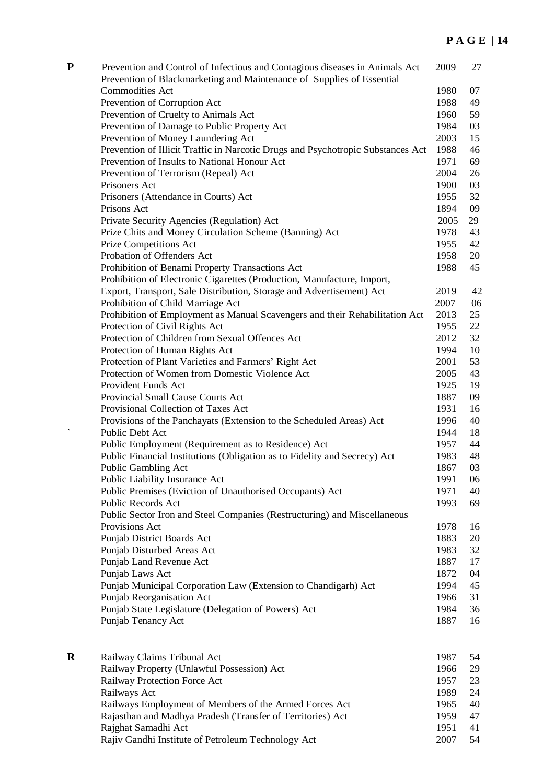| ${\bf P}$ | Prevention and Control of Infectious and Contagious diseases in Animals Act<br>Prevention of Blackmarketing and Maintenance of Supplies of Essential | 2009         | 27       |
|-----------|------------------------------------------------------------------------------------------------------------------------------------------------------|--------------|----------|
|           | <b>Commodities Act</b>                                                                                                                               | 1980         | 07       |
|           | Prevention of Corruption Act                                                                                                                         | 1988         | 49       |
|           | Prevention of Cruelty to Animals Act                                                                                                                 | 1960         | 59       |
|           | Prevention of Damage to Public Property Act                                                                                                          | 1984         | 03       |
|           | Prevention of Money Laundering Act                                                                                                                   | 2003         | 15       |
|           | Prevention of Illicit Traffic in Narcotic Drugs and Psychotropic Substances Act                                                                      | 1988         | 46       |
|           | Prevention of Insults to National Honour Act                                                                                                         | 1971         | 69       |
|           | Prevention of Terrorism (Repeal) Act                                                                                                                 | 2004         | 26       |
|           | Prisoners Act                                                                                                                                        | 1900         | 03       |
|           | Prisoners (Attendance in Courts) Act                                                                                                                 | 1955         | 32       |
|           | Prisons Act                                                                                                                                          | 1894         | 09       |
|           | Private Security Agencies (Regulation) Act                                                                                                           | 2005         | 29       |
|           | Prize Chits and Money Circulation Scheme (Banning) Act                                                                                               | 1978         | 43       |
|           | <b>Prize Competitions Act</b>                                                                                                                        | 1955         | 42       |
|           | Probation of Offenders Act                                                                                                                           | 1958         | 20       |
|           | Prohibition of Benami Property Transactions Act                                                                                                      | 1988         | 45       |
|           | Prohibition of Electronic Cigarettes (Production, Manufacture, Import,                                                                               |              |          |
|           | Export, Transport, Sale Distribution, Storage and Advertisement) Act                                                                                 | 2019         | 42       |
|           | Prohibition of Child Marriage Act                                                                                                                    | 2007         | 06       |
|           | Prohibition of Employment as Manual Scavengers and their Rehabilitation Act                                                                          | 2013         | 25       |
|           | Protection of Civil Rights Act                                                                                                                       | 1955         | 22       |
|           | Protection of Children from Sexual Offences Act                                                                                                      | 2012         | 32       |
|           | Protection of Human Rights Act                                                                                                                       | 1994         | 10       |
|           | Protection of Plant Varieties and Farmers' Right Act                                                                                                 | 2001         | 53       |
|           | Protection of Women from Domestic Violence Act                                                                                                       | 2005         | 43       |
|           | Provident Funds Act                                                                                                                                  | 1925         | 19       |
|           | Provincial Small Cause Courts Act                                                                                                                    | 1887         | 09       |
|           | Provisional Collection of Taxes Act                                                                                                                  | 1931         | 16       |
|           | Provisions of the Panchayats (Extension to the Scheduled Areas) Act                                                                                  | 1996         | 40       |
|           | Public Debt Act                                                                                                                                      | 1944         | 18       |
|           | Public Employment (Requirement as to Residence) Act                                                                                                  | 1957         | 44       |
|           | Public Financial Institutions (Obligation as to Fidelity and Secrecy) Act                                                                            | 1983         | 48       |
|           | Public Gambling Act                                                                                                                                  | 1867         | 03       |
|           | Public Liability Insurance Act                                                                                                                       | 1991         | 06       |
|           | Public Premises (Eviction of Unauthorised Occupants) Act                                                                                             | 1971         | 40       |
|           | Public Records Act                                                                                                                                   | 1993         | 69       |
|           | Public Sector Iron and Steel Companies (Restructuring) and Miscellaneous                                                                             |              |          |
|           | Provisions Act                                                                                                                                       | 1978         | 16       |
|           | Punjab District Boards Act                                                                                                                           | 1883         | 20       |
|           | Punjab Disturbed Areas Act                                                                                                                           | 1983         | 32       |
|           | Punjab Land Revenue Act                                                                                                                              | 1887         | 17       |
|           | Punjab Laws Act                                                                                                                                      | 1872         | 04       |
|           | Punjab Municipal Corporation Law (Extension to Chandigarh) Act                                                                                       | 1994         | 45       |
|           | Punjab Reorganisation Act                                                                                                                            | 1966         | 31       |
|           | Punjab State Legislature (Delegation of Powers) Act<br>Punjab Tenancy Act                                                                            | 1984<br>1887 | 36<br>16 |
|           |                                                                                                                                                      |              |          |
|           |                                                                                                                                                      |              |          |

| $\mathbf R$ | Railway Claims Tribunal Act                                | 1987 | 54 |
|-------------|------------------------------------------------------------|------|----|
|             | Railway Property (Unlawful Possession) Act                 | 1966 | 29 |
|             | Railway Protection Force Act                               | 1957 | 23 |
|             | Railways Act                                               | 1989 | 24 |
|             | Railways Employment of Members of the Armed Forces Act     | 1965 | 40 |
|             | Rajasthan and Madhya Pradesh (Transfer of Territories) Act | 1959 | 47 |
|             | Rajghat Samadhi Act                                        | 1951 | 41 |
|             | Rajiv Gandhi Institute of Petroleum Technology Act         | 2007 | 54 |
|             |                                                            |      |    |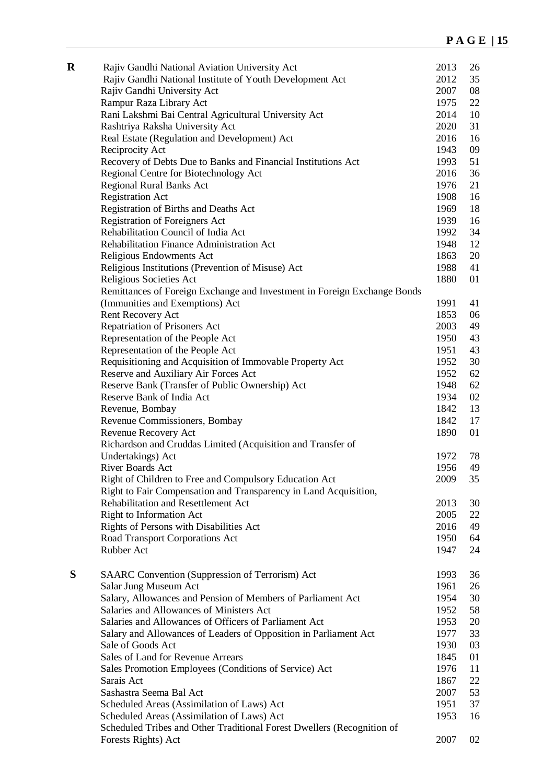| $\mathbf R$ | Rajiv Gandhi National Aviation University Act                            | 2013 | 26 |
|-------------|--------------------------------------------------------------------------|------|----|
|             | Rajiv Gandhi National Institute of Youth Development Act                 | 2012 | 35 |
|             | Rajiv Gandhi University Act                                              | 2007 | 08 |
|             | Rampur Raza Library Act                                                  | 1975 | 22 |
|             | Rani Lakshmi Bai Central Agricultural University Act                     | 2014 | 10 |
|             | Rashtriya Raksha University Act                                          | 2020 | 31 |
|             | Real Estate (Regulation and Development) Act                             | 2016 | 16 |
|             | Reciprocity Act                                                          | 1943 | 09 |
|             | Recovery of Debts Due to Banks and Financial Institutions Act            | 1993 | 51 |
|             | Regional Centre for Biotechnology Act                                    | 2016 | 36 |
|             | <b>Regional Rural Banks Act</b>                                          | 1976 | 21 |
|             | <b>Registration Act</b>                                                  | 1908 | 16 |
|             | Registration of Births and Deaths Act                                    | 1969 | 18 |
|             | <b>Registration of Foreigners Act</b>                                    | 1939 | 16 |
|             | Rehabilitation Council of India Act                                      | 1992 | 34 |
|             | Rehabilitation Finance Administration Act                                | 1948 | 12 |
|             | Religious Endowments Act                                                 | 1863 | 20 |
|             | Religious Institutions (Prevention of Misuse) Act                        | 1988 | 41 |
|             | Religious Societies Act                                                  | 1880 | 01 |
|             | Remittances of Foreign Exchange and Investment in Foreign Exchange Bonds |      |    |
|             | (Immunities and Exemptions) Act                                          | 1991 | 41 |
|             | Rent Recovery Act                                                        | 1853 | 06 |
|             | Repatriation of Prisoners Act                                            | 2003 | 49 |
|             | Representation of the People Act                                         | 1950 | 43 |
|             | Representation of the People Act                                         | 1951 | 43 |
|             | Requisitioning and Acquisition of Immovable Property Act                 | 1952 | 30 |
|             | Reserve and Auxiliary Air Forces Act                                     | 1952 | 62 |
|             | Reserve Bank (Transfer of Public Ownership) Act                          | 1948 | 62 |
|             | Reserve Bank of India Act                                                | 1934 | 02 |
|             | Revenue, Bombay                                                          | 1842 | 13 |
|             | Revenue Commissioners, Bombay                                            | 1842 | 17 |
|             | Revenue Recovery Act                                                     | 1890 | 01 |
|             | Richardson and Cruddas Limited (Acquisition and Transfer of              |      |    |
|             | Undertakings) Act                                                        | 1972 | 78 |
|             | River Boards Act                                                         | 1956 | 49 |
|             | Right of Children to Free and Compulsory Education Act                   | 2009 | 35 |
|             | Right to Fair Compensation and Transparency in Land Acquisition,         |      |    |
|             | Rehabilitation and Resettlement Act                                      | 2013 | 30 |
|             | Right to Information Act                                                 | 2005 | 22 |
|             | Rights of Persons with Disabilities Act                                  | 2016 | 49 |
|             | Road Transport Corporations Act                                          | 1950 | 64 |
|             | Rubber Act                                                               | 1947 | 24 |
|             |                                                                          |      |    |
| S           | SAARC Convention (Suppression of Terrorism) Act                          | 1993 | 36 |
|             | Salar Jung Museum Act                                                    | 1961 | 26 |
|             | Salary, Allowances and Pension of Members of Parliament Act              | 1954 | 30 |
|             | Salaries and Allowances of Ministers Act                                 | 1952 | 58 |
|             | Salaries and Allowances of Officers of Parliament Act                    | 1953 | 20 |
|             | Salary and Allowances of Leaders of Opposition in Parliament Act         | 1977 | 33 |
|             | Sale of Goods Act                                                        | 1930 | 03 |
|             | Sales of Land for Revenue Arrears                                        | 1845 | 01 |
|             | Sales Promotion Employees (Conditions of Service) Act                    | 1976 | 11 |
|             | Sarais Act                                                               | 1867 | 22 |
|             | Sashastra Seema Bal Act                                                  | 2007 | 53 |
|             | Scheduled Areas (Assimilation of Laws) Act                               | 1951 | 37 |
|             | Scheduled Areas (Assimilation of Laws) Act                               | 1953 | 16 |
|             | Scheduled Tribes and Other Traditional Forest Dwellers (Recognition of   |      |    |
|             | Forests Rights) Act                                                      | 2007 | 02 |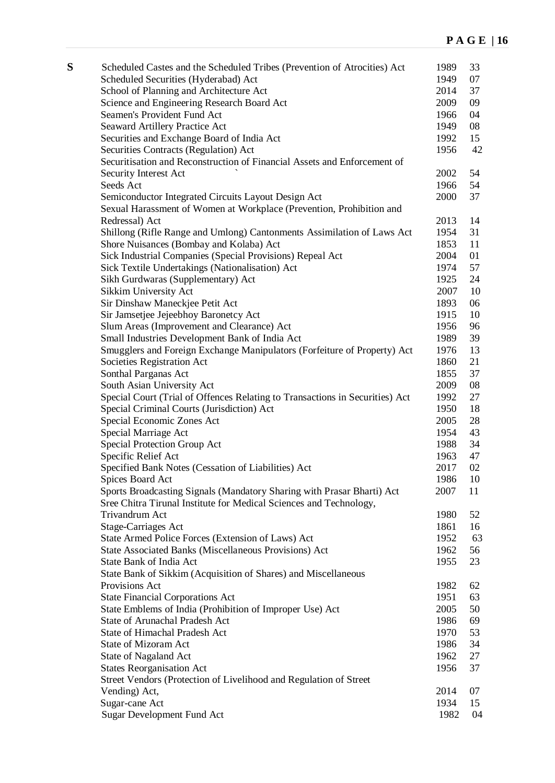| S | Scheduled Castes and the Scheduled Tribes (Prevention of Atrocities) Act     | 1989 | 33 |
|---|------------------------------------------------------------------------------|------|----|
|   | Scheduled Securities (Hyderabad) Act                                         | 1949 | 07 |
|   | School of Planning and Architecture Act                                      | 2014 | 37 |
|   | Science and Engineering Research Board Act                                   | 2009 | 09 |
|   | Seamen's Provident Fund Act                                                  | 1966 | 04 |
|   | Seaward Artillery Practice Act                                               | 1949 | 08 |
|   | Securities and Exchange Board of India Act                                   | 1992 | 15 |
|   | Securities Contracts (Regulation) Act                                        | 1956 | 42 |
|   | Securitisation and Reconstruction of Financial Assets and Enforcement of     |      |    |
|   | Security Interest Act                                                        | 2002 | 54 |
|   | Seeds Act                                                                    | 1966 | 54 |
|   | Semiconductor Integrated Circuits Layout Design Act                          | 2000 | 37 |
|   | Sexual Harassment of Women at Workplace (Prevention, Prohibition and         |      |    |
|   | Redressal) Act                                                               | 2013 | 14 |
|   | Shillong (Rifle Range and Umlong) Cantonments Assimilation of Laws Act       | 1954 | 31 |
|   | Shore Nuisances (Bombay and Kolaba) Act                                      | 1853 | 11 |
|   | Sick Industrial Companies (Special Provisions) Repeal Act                    | 2004 | 01 |
|   | Sick Textile Undertakings (Nationalisation) Act                              | 1974 | 57 |
|   | Sikh Gurdwaras (Supplementary) Act                                           | 1925 | 24 |
|   | Sikkim University Act                                                        | 2007 | 10 |
|   | Sir Dinshaw Maneckjee Petit Act                                              | 1893 | 06 |
|   | Sir Jamsetjee Jejeebhoy Baronetcy Act                                        | 1915 | 10 |
|   | Slum Areas (Improvement and Clearance) Act                                   | 1956 | 96 |
|   | Small Industries Development Bank of India Act                               | 1989 | 39 |
|   | Smugglers and Foreign Exchange Manipulators (Forfeiture of Property) Act     | 1976 | 13 |
|   | Societies Registration Act                                                   | 1860 | 21 |
|   | Sonthal Parganas Act                                                         | 1855 | 37 |
|   | South Asian University Act                                                   | 2009 | 08 |
|   | Special Court (Trial of Offences Relating to Transactions in Securities) Act | 1992 | 27 |
|   | Special Criminal Courts (Jurisdiction) Act                                   | 1950 | 18 |
|   | Special Economic Zones Act                                                   | 2005 | 28 |
|   | Special Marriage Act                                                         | 1954 | 43 |
|   | Special Protection Group Act                                                 | 1988 | 34 |
|   | Specific Relief Act                                                          | 1963 | 47 |
|   | Specified Bank Notes (Cessation of Liabilities) Act                          | 2017 | 02 |
|   | Spices Board Act                                                             | 1986 | 10 |
|   | Sports Broadcasting Signals (Mandatory Sharing with Prasar Bharti) Act       | 2007 | 11 |
|   | Sree Chitra Tirunal Institute for Medical Sciences and Technology,           |      |    |
|   | Trivandrum Act                                                               | 1980 | 52 |
|   | <b>Stage-Carriages Act</b>                                                   | 1861 | 16 |
|   | State Armed Police Forces (Extension of Laws) Act                            | 1952 | 63 |
|   | State Associated Banks (Miscellaneous Provisions) Act                        | 1962 | 56 |
|   | <b>State Bank of India Act</b>                                               | 1955 | 23 |
|   | State Bank of Sikkim (Acquisition of Shares) and Miscellaneous               |      |    |
|   | Provisions Act                                                               | 1982 | 62 |
|   | <b>State Financial Corporations Act</b>                                      | 1951 | 63 |
|   | State Emblems of India (Prohibition of Improper Use) Act                     | 2005 | 50 |
|   | <b>State of Arunachal Pradesh Act</b>                                        | 1986 | 69 |
|   | <b>State of Himachal Pradesh Act</b>                                         | 1970 | 53 |
|   | <b>State of Mizoram Act</b>                                                  | 1986 | 34 |
|   | <b>State of Nagaland Act</b>                                                 | 1962 | 27 |
|   | <b>States Reorganisation Act</b>                                             | 1956 | 37 |
|   | Street Vendors (Protection of Livelihood and Regulation of Street            |      |    |
|   | Vending) Act,                                                                | 2014 | 07 |
|   | Sugar-cane Act                                                               | 1934 | 15 |
|   | <b>Sugar Development Fund Act</b>                                            | 1982 | 04 |
|   |                                                                              |      |    |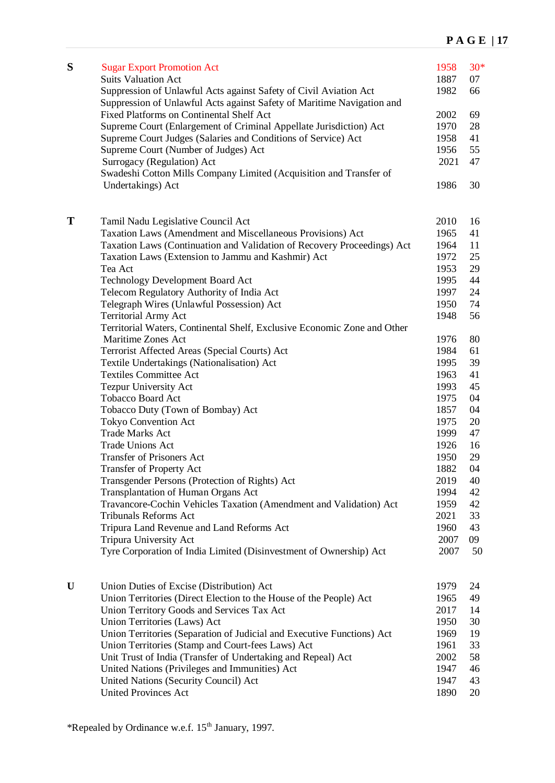| S | <b>Sugar Export Promotion Act</b><br><b>Suits Valuation Act</b><br>Suppression of Unlawful Acts against Safety of Civil Aviation Act | 1958<br>1887<br>1982 | $30*$<br>07<br>66 |
|---|--------------------------------------------------------------------------------------------------------------------------------------|----------------------|-------------------|
|   | Suppression of Unlawful Acts against Safety of Maritime Navigation and                                                               |                      |                   |
|   | <b>Fixed Platforms on Continental Shelf Act</b>                                                                                      | 2002                 | 69                |
|   | Supreme Court (Enlargement of Criminal Appellate Jurisdiction) Act                                                                   | 1970                 | 28                |
|   | Supreme Court Judges (Salaries and Conditions of Service) Act                                                                        | 1958                 | 41                |
|   | Supreme Court (Number of Judges) Act                                                                                                 | 1956<br>2021         | 55<br>47          |
|   | Surrogacy (Regulation) Act<br>Swadeshi Cotton Mills Company Limited (Acquisition and Transfer of                                     |                      |                   |
|   | Undertakings) Act                                                                                                                    | 1986                 | 30                |
| T | Tamil Nadu Legislative Council Act                                                                                                   | 2010                 | 16                |
|   | Taxation Laws (Amendment and Miscellaneous Provisions) Act                                                                           | 1965                 | 41                |
|   | Taxation Laws (Continuation and Validation of Recovery Proceedings) Act                                                              | 1964                 | 11                |
|   | Taxation Laws (Extension to Jammu and Kashmir) Act                                                                                   | 1972                 | 25                |
|   | Tea Act                                                                                                                              | 1953                 | 29                |
|   | <b>Technology Development Board Act</b>                                                                                              | 1995                 | 44                |
|   | Telecom Regulatory Authority of India Act                                                                                            | 1997                 | 24                |
|   | Telegraph Wires (Unlawful Possession) Act                                                                                            | 1950                 | 74                |
|   | <b>Territorial Army Act</b>                                                                                                          | 1948                 | 56                |
|   | Territorial Waters, Continental Shelf, Exclusive Economic Zone and Other                                                             |                      |                   |
|   | Maritime Zones Act                                                                                                                   | 1976                 | 80                |
|   | Terrorist Affected Areas (Special Courts) Act                                                                                        | 1984                 | 61                |
|   | Textile Undertakings (Nationalisation) Act                                                                                           | 1995                 | 39                |
|   | <b>Textiles Committee Act</b>                                                                                                        | 1963                 | 41                |
|   | Tezpur University Act                                                                                                                | 1993                 | 45                |
|   | <b>Tobacco Board Act</b>                                                                                                             | 1975                 | 04                |
|   | Tobacco Duty (Town of Bombay) Act                                                                                                    | 1857                 | 04                |
|   | <b>Tokyo Convention Act</b>                                                                                                          | 1975                 | 20                |
|   | <b>Trade Marks Act</b>                                                                                                               | 1999                 | 47                |
|   | <b>Trade Unions Act</b>                                                                                                              | 1926                 | 16                |
|   | <b>Transfer of Prisoners Act</b>                                                                                                     | 1950                 | 29                |
|   | <b>Transfer of Property Act</b>                                                                                                      | 1882                 | 04                |
|   | Transgender Persons (Protection of Rights) Act<br><b>Transplantation of Human Organs Act</b>                                         | 2019<br>1994         | 40<br>42          |
|   | Travancore-Cochin Vehicles Taxation (Amendment and Validation) Act                                                                   | 1959                 | 42                |
|   | Tribunals Reforms Act                                                                                                                | 2021                 | 33                |
|   | Tripura Land Revenue and Land Reforms Act                                                                                            | 1960                 | 43                |
|   | Tripura University Act                                                                                                               | 2007                 | 09                |
|   | Tyre Corporation of India Limited (Disinvestment of Ownership) Act                                                                   | 2007                 | 50                |
| U | Union Duties of Excise (Distribution) Act                                                                                            | 1979                 | 24                |
|   | Union Territories (Direct Election to the House of the People) Act                                                                   | 1965                 | 49                |
|   | Union Territory Goods and Services Tax Act                                                                                           | 2017                 | 14                |
|   | Union Territories (Laws) Act                                                                                                         | 1950                 | 30                |
|   | Union Territories (Separation of Judicial and Executive Functions) Act                                                               | 1969                 | 19                |
|   | Union Territories (Stamp and Court-fees Laws) Act                                                                                    | 1961                 | 33                |
|   | Unit Trust of India (Transfer of Undertaking and Repeal) Act                                                                         | 2002                 | 58                |
|   | United Nations (Privileges and Immunities) Act                                                                                       | 1947                 | 46                |
|   | United Nations (Security Council) Act                                                                                                | 1947                 | 43                |
|   | <b>United Provinces Act</b>                                                                                                          | 1890                 | 20                |